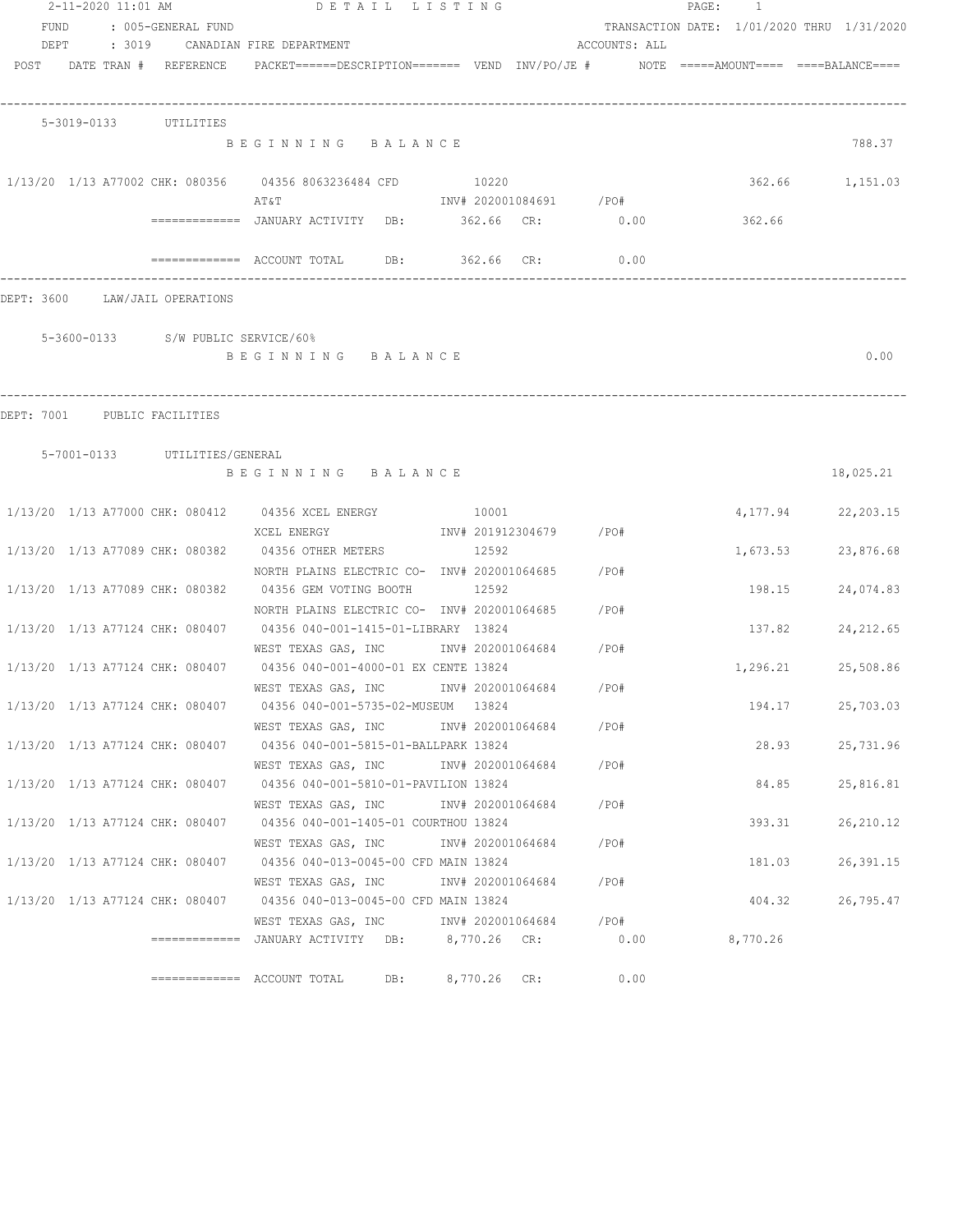| 2-11-2020 11:01 AM |                                 | DETAIL LISTING                     |                                                                                                                               | PAGE: 1                 |               |                                            |                    |
|--------------------|---------------------------------|------------------------------------|-------------------------------------------------------------------------------------------------------------------------------|-------------------------|---------------|--------------------------------------------|--------------------|
| FUND               |                                 | : 005-GENERAL FUND                 |                                                                                                                               |                         |               | TRANSACTION DATE: 1/01/2020 THRU 1/31/2020 |                    |
|                    |                                 |                                    | DEPT : 3019 CANADIAN FIRE DEPARTMENT                                                                                          |                         | ACCOUNTS: ALL |                                            |                    |
|                    | POST DATE TRAN # REFERENCE      |                                    | PACKET======DESCRIPTION======= VEND INV/PO/JE #    NOTE =====AMOUNT==== ====BALANCE====                                       |                         |               |                                            |                    |
|                    | 5-3019-0133 UTILITIES           |                                    |                                                                                                                               |                         |               |                                            |                    |
|                    |                                 |                                    | BEGINNING BALANCE                                                                                                             |                         |               |                                            | 788.37             |
|                    |                                 |                                    | 1/13/20 1/13 A77002 CHK: 080356 04356 8063236484 CFD 10220<br>AT&T                                                            | INV# 202001084691 /PO#  |               |                                            | 362.66 1,151.03    |
|                    |                                 |                                    | ============= JANUARY ACTIVITY DB: 362.66 CR: 0.00 362.66                                                                     |                         |               |                                            |                    |
|                    |                                 |                                    | ============= ACCOUNT TOTAL DB: 362.66 CR: 0.00                                                                               |                         |               |                                            |                    |
|                    | DEPT: 3600 LAW/JAIL OPERATIONS  |                                    |                                                                                                                               |                         |               |                                            |                    |
|                    |                                 | 5-3600-0133 S/W PUBLIC SERVICE/60% |                                                                                                                               |                         |               |                                            |                    |
|                    |                                 |                                    | BEGINNING BALANCE                                                                                                             |                         |               |                                            | 0.00               |
|                    | DEPT: 7001 PUBLIC FACILITIES    |                                    |                                                                                                                               |                         |               |                                            |                    |
|                    |                                 | 5-7001-0133 UTILITIES/GENERAL      |                                                                                                                               |                         |               |                                            |                    |
|                    |                                 |                                    | BEGINNING BALANCE                                                                                                             |                         |               |                                            | 18,025.21          |
|                    |                                 |                                    | 1/13/20 1/13 A77000 CHK: 080412 04356 XCEL ENERGY 10001                                                                       |                         |               | 4,177.94                                   | 22, 203.15         |
|                    |                                 |                                    | XCEL ENERGY<br>1/13/20 1/13 A77089 CHK: 080382 04356 OTHER METERS 12592                                                       | INV# 201912304679 / PO# |               | 1,673.53                                   | 23,876.68          |
|                    |                                 |                                    | NORTH PLAINS ELECTRIC CO- INV# 202001064685 / PO#<br>1/13/20 1/13 A77089 CHK: 080382 04356 GEM VOTING BOOTH                   | 12592                   |               | 198.15                                     | 24,074.83          |
|                    |                                 |                                    | NORTH PLAINS ELECTRIC CO- INV# 202001064685<br>1/13/20 1/13 A77124 CHK: 080407 04356 040-001-1415-01-LIBRARY 13824            |                         | /PO#          | 137.82                                     | 24, 212.65         |
|                    |                                 |                                    | WEST TEXAS GAS, INC NOT INV# 202001064684 / PO#                                                                               |                         |               |                                            |                    |
|                    |                                 |                                    | 1/13/20 1/13 A77124 CHK: 080407 04356 040-001-4000-01 EX CENTE 13824<br>WEST TEXAS GAS, INC MONTH 202001064684                |                         | /PO#          |                                            | 1,296.21 25,508.86 |
|                    |                                 |                                    | 1/13/20 1/13 A77124 CHK: 080407 04356 040-001-5735-02-MUSEUM 13824<br>WEST TEXAS GAS, INC         INV# 202001064684      /PO# |                         |               | 194.17                                     | 25,703.03          |
|                    |                                 |                                    | 1/13/20 1/13 A77124 CHK: 080407 04356 040-001-5815-01-BALLPARK 13824                                                          |                         |               | 28.93                                      | 25,731.96          |
|                    | 1/13/20 1/13 A77124 CHK: 080407 |                                    | WEST TEXAS GAS, INC<br>04356 040-001-5810-01-PAVILION 13824                                                                   | INV# 202001064684 /PO#  |               | 84.85                                      | 25,816.81          |
|                    | 1/13/20 1/13 A77124 CHK: 080407 |                                    | WEST TEXAS GAS, INC<br>04356 040-001-1405-01 COURTHOU 13824                                                                   | INV# 202001064684       | /PO#          | 393.31                                     | 26,210.12          |
|                    | 1/13/20 1/13 A77124 CHK: 080407 |                                    | WEST TEXAS GAS, INC 1NV# 202001064684<br>04356 040-013-0045-00 CFD MAIN 13824                                                 |                         | / PO#         | 181.03                                     | 26,391.15          |
|                    |                                 |                                    | WEST TEXAS GAS, INC MONTH 202001064684<br>1/13/20 1/13 A77124 CHK: 080407 04356 040-013-0045-00 CFD MAIN 13824                |                         | $/$ PO#       | 404.32                                     | 26,795.47          |
|                    |                                 |                                    | WEST TEXAS GAS, INC MOV# 202001064684 / PO#                                                                                   |                         |               |                                            |                    |
|                    |                                 |                                    | =============  JANUARY ACTIVITY   DB:       8,770.26   CR:              0.00              8,770.26                            |                         |               |                                            |                    |
|                    |                                 |                                    | DB:                                                                                                                           | 8,770.26 CR:            | 0.00          |                                            |                    |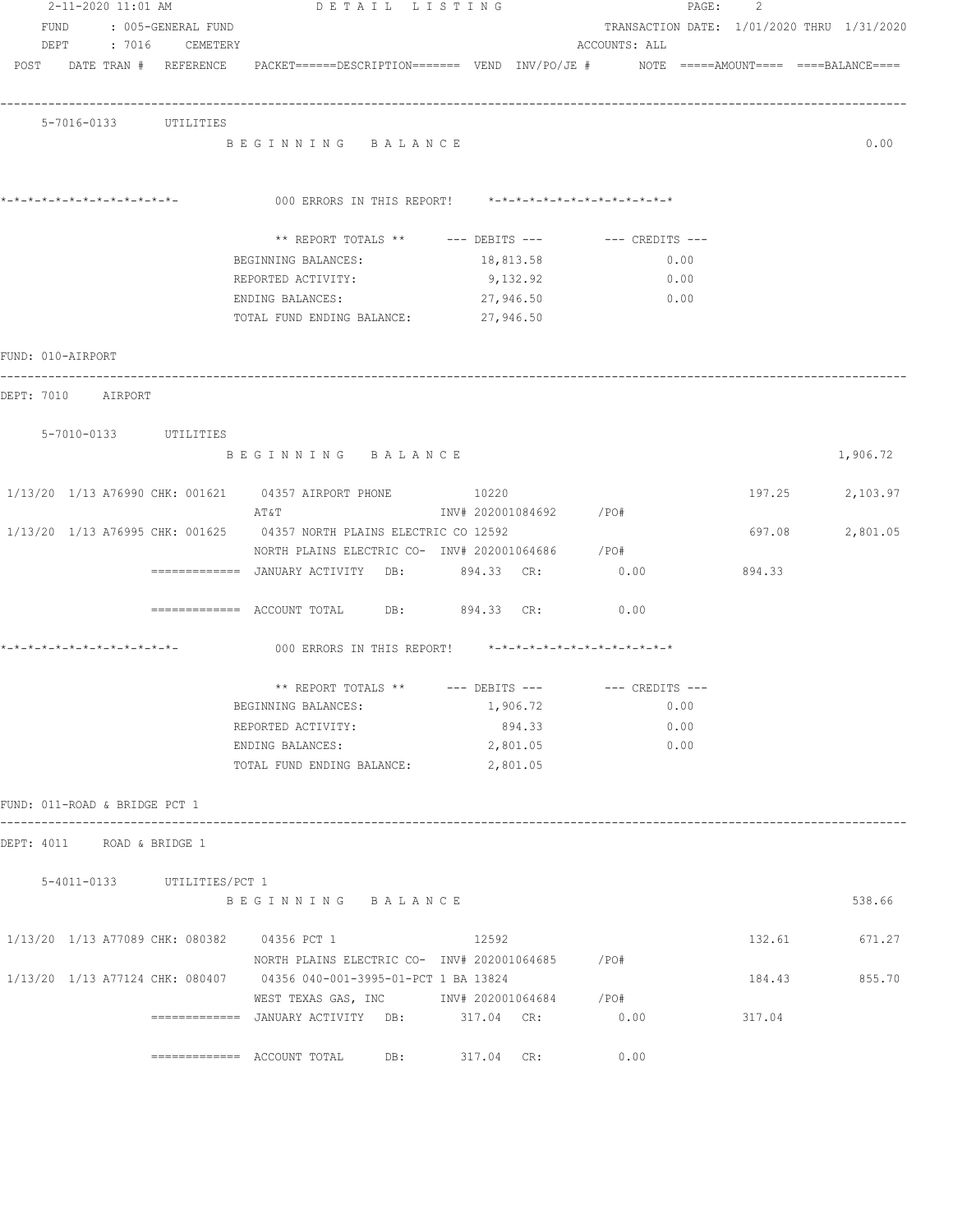| 2-11-2020 11:01 AM                          | DETAIL LISTING                                                                                                  |                        |                                            | 2<br>$\texttt{PAGE:}$ |                 |
|---------------------------------------------|-----------------------------------------------------------------------------------------------------------------|------------------------|--------------------------------------------|-----------------------|-----------------|
| FUND : 005-GENERAL FUND                     |                                                                                                                 |                        | TRANSACTION DATE: 1/01/2020 THRU 1/31/2020 |                       |                 |
| DEPT : 7016 CEMETERY                        |                                                                                                                 |                        | ACCOUNTS: ALL                              |                       |                 |
|                                             | POST DATE TRAN # REFERENCE PACKET======DESCRIPTION======= VEND INV/PO/JE # NOTE =====AMOUNT==== ====BALANCE==== |                        |                                            |                       |                 |
|                                             |                                                                                                                 |                        |                                            |                       |                 |
| 5-7016-0133 UTILITIES                       |                                                                                                                 |                        |                                            |                       |                 |
|                                             | BEGINNING BALANCE                                                                                               |                        |                                            |                       | 0.00            |
|                                             |                                                                                                                 |                        |                                            |                       |                 |
| *_*_*_*_*_*_*_*_*_*_*_*_*_*_                | 000 ERRORS IN THIS REPORT! $*-*-*-*-*-*-*-*-*-*-*-*-*-*-**$                                                     |                        |                                            |                       |                 |
|                                             |                                                                                                                 |                        |                                            |                       |                 |
|                                             | ** REPORT TOTALS ** --- DEBITS --- -- -- CREDITS ---                                                            |                        |                                            |                       |                 |
|                                             | BEGINNING BALANCES:                                                                                             | 18,813.58              | 0.00                                       |                       |                 |
|                                             | REPORTED ACTIVITY:                                                                                              | 9,132.92               | 0.00                                       |                       |                 |
|                                             | ENDING BALANCES:                                                                                                | 27,946.50              | 0.00                                       |                       |                 |
|                                             | TOTAL FUND ENDING BALANCE:                                                                                      | 27,946.50              |                                            |                       |                 |
| FUND: 010-AIRPORT                           |                                                                                                                 |                        |                                            |                       |                 |
|                                             |                                                                                                                 |                        |                                            |                       |                 |
| DEPT: 7010 AIRPORT                          |                                                                                                                 |                        |                                            |                       |                 |
| 5-7010-0133 UTILITIES                       |                                                                                                                 |                        |                                            |                       |                 |
|                                             | BEGINNING BALANCE                                                                                               |                        |                                            |                       | 1,906.72        |
|                                             |                                                                                                                 |                        |                                            |                       |                 |
|                                             | 1/13/20 1/13 A76990 CHK: 001621 04357 AIRPORT PHONE 10220                                                       |                        |                                            |                       | 197.25 2,103.97 |
|                                             | AT&T                                                                                                            | INV# 202001084692 /PO# |                                            |                       |                 |
|                                             | 1/13/20 1/13 A76995 CHK: 001625 04357 NORTH PLAINS ELECTRIC CO 12592                                            |                        |                                            | 697.08                | 2,801.05        |
|                                             | NORTH PLAINS ELECTRIC CO- INV# 202001064686 / PO#                                                               |                        |                                            |                       |                 |
|                                             | ============= JANUARY ACTIVITY DB: 894.33 CR:                                                                   |                        | 0.00                                       | 894.33                |                 |
|                                             | $\overline{\phantom{X}}$ ============ ACCOUNT TOTAL DB: 894.33 CR:                                              |                        | 0.00                                       |                       |                 |
|                                             |                                                                                                                 |                        |                                            |                       |                 |
| *_*_*_*_*_*_*_*_*_*_*_*_*_*_*_              | 000 ERRORS IN THIS REPORT! *-*-*-*-*-*-*-*-*-*-*-*-*-*-                                                         |                        |                                            |                       |                 |
|                                             | ** REPORT TOTALS ** --- DEBITS --- -- -- CREDITS ---                                                            |                        |                                            |                       |                 |
|                                             | BEGINNING BALANCES:                                                                                             | 1,906.72               | 0.00                                       |                       |                 |
|                                             | REPORTED ACTIVITY:                                                                                              | 894.33                 | 0.00                                       |                       |                 |
|                                             | ENDING BALANCES:                                                                                                | 2,801.05               | 0.00                                       |                       |                 |
|                                             | TOTAL FUND ENDING BALANCE:                                                                                      | 2,801.05               |                                            |                       |                 |
|                                             |                                                                                                                 |                        |                                            |                       |                 |
| FUND: 011-ROAD & BRIDGE PCT 1               |                                                                                                                 |                        |                                            |                       |                 |
| DEPT: 4011 ROAD & BRIDGE 1                  |                                                                                                                 |                        |                                            |                       |                 |
|                                             |                                                                                                                 |                        |                                            |                       |                 |
| 5-4011-0133 UTILITIES/PCT 1                 |                                                                                                                 |                        |                                            |                       |                 |
|                                             | BEGINNING BALANCE                                                                                               |                        |                                            |                       | 538.66          |
| 1/13/20 1/13 A77089 CHK: 080382 04356 PCT 1 |                                                                                                                 | 12592                  |                                            | 132.61                | 671.27          |
|                                             | NORTH PLAINS ELECTRIC CO- INV# 202001064685 / PO#                                                               |                        |                                            |                       |                 |
|                                             | 1/13/20 1/13 A77124 CHK: 080407 04356 040-001-3995-01-PCT 1 BA 13824                                            |                        |                                            | 184.43                | 855.70          |
|                                             | WEST TEXAS GAS, INC 		 INV# 202001064684 / PO#                                                                  |                        |                                            |                       |                 |
|                                             | $\texttt{-----} \texttt{-----}$ JANUARY ACTIVITY DB: 317.04 CR:                                                 |                        | 0.00                                       | 317.04                |                 |
|                                             |                                                                                                                 |                        |                                            |                       |                 |
|                                             | $\texttt{-----}$ ============= ACCOUNT TOTAL DB: 317.04 CR:                                                     |                        | 0.00                                       |                       |                 |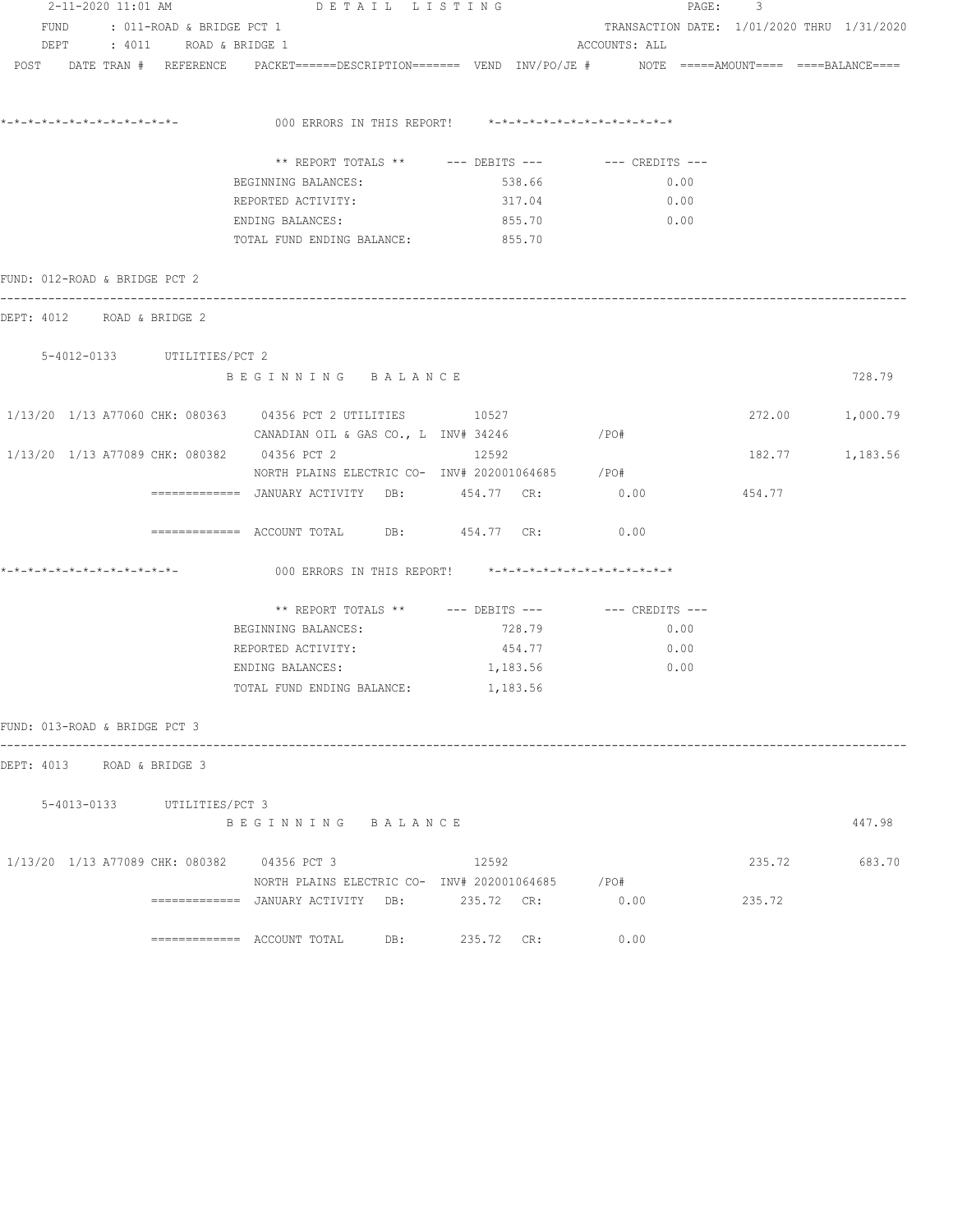|                                             | 2-11-2020 11:01 AM DETAIL LISTING                                                                               |            |                                            | PAGE: 3 |                 |
|---------------------------------------------|-----------------------------------------------------------------------------------------------------------------|------------|--------------------------------------------|---------|-----------------|
| FUND : 011-ROAD & BRIDGE PCT 1              |                                                                                                                 |            | TRANSACTION DATE: 1/01/2020 THRU 1/31/2020 |         |                 |
| DEPT : 4011 ROAD & BRIDGE 1                 |                                                                                                                 |            | ACCOUNTS: ALL                              |         |                 |
|                                             | POST DATE TRAN # REFERENCE PACKET======DESCRIPTION======= VEND INV/PO/JE # NOTE =====AMOUNT==== ====BALANCE==== |            |                                            |         |                 |
|                                             |                                                                                                                 |            |                                            |         |                 |
|                                             | 000 ERRORS IN THIS REPORT! *-*-*-*-*-*-*-*-*-*-*-*-*-*-                                                         |            |                                            |         |                 |
|                                             | ** REPORT TOTALS ** --- DEBITS --- -- -- CREDITS ---                                                            |            |                                            |         |                 |
|                                             | BEGINNING BALANCES:                                                                                             | 538.66     | 0.00                                       |         |                 |
|                                             | REPORTED ACTIVITY:                                                                                              | 317.04     | 0.00                                       |         |                 |
|                                             | ENDING BALANCES:                                                                                                | 855.70     | 0.00                                       |         |                 |
|                                             | TOTAL FUND ENDING BALANCE: 855.70                                                                               |            |                                            |         |                 |
| FUND: 012-ROAD & BRIDGE PCT 2               |                                                                                                                 |            |                                            |         |                 |
| DEPT: 4012 ROAD & BRIDGE 2                  |                                                                                                                 |            |                                            |         |                 |
|                                             |                                                                                                                 |            |                                            |         |                 |
| 5-4012-0133 UTILITIES/PCT 2                 | BEGINNING BALANCE                                                                                               |            |                                            |         | 728.79          |
|                                             |                                                                                                                 |            |                                            |         |                 |
|                                             |                                                                                                                 |            |                                            |         | 272.00 1,000.79 |
|                                             | CANADIAN OIL & GAS CO., L INV# 34246                                                                            |            | $/$ PO#                                    |         |                 |
| 1/13/20 1/13 A77089 CHK: 080382 04356 PCT 2 |                                                                                                                 | 12592      |                                            |         | 182.77 1,183.56 |
|                                             | NORTH PLAINS ELECTRIC CO- INV# 202001064685 / PO#                                                               |            |                                            |         |                 |
|                                             | =============   JANUARY  ACTIVITY     DB:             454.77    CR:                  0.00                       |            |                                            | 454.77  |                 |
|                                             | ------------- ACCOUNT TOTAL DB: 454.77 CR: 0.00                                                                 |            |                                            |         |                 |
| *_*_*_*_*_*_*_*_*_*_*_*_*_*_*_              | 000 ERRORS IN THIS REPORT! *-*-*-*-*-*-*-*-*-*-*-*-*-*-                                                         |            |                                            |         |                 |
|                                             | ** REPORT TOTALS ** --- DEBITS --- -- CREDITS ---                                                               |            |                                            |         |                 |
|                                             | BEGINNING BALANCES:                                                                                             | 728.79     | 0.00                                       |         |                 |
|                                             | REPORTED ACTIVITY:                                                                                              | 454.77     | 0.00                                       |         |                 |
|                                             | ENDING BALANCES:                                                                                                | 1,183.56   | 0.00                                       |         |                 |
|                                             | TOTAL FUND ENDING BALANCE:                                                                                      | 1,183.56   |                                            |         |                 |
| FUND: 013-ROAD & BRIDGE PCT 3               |                                                                                                                 |            |                                            |         |                 |
| DEPT: 4013 ROAD & BRIDGE 3                  |                                                                                                                 |            |                                            |         |                 |
|                                             |                                                                                                                 |            |                                            |         |                 |
| 5-4013-0133 UTILITIES/PCT 3                 |                                                                                                                 |            |                                            |         |                 |
|                                             | BEGINNING BALANCE                                                                                               |            |                                            |         | 447.98          |
| 1/13/20 1/13 A77089 CHK: 080382 04356 PCT 3 |                                                                                                                 | 12592      |                                            | 235.72  | 683.70          |
|                                             | NORTH PLAINS ELECTRIC CO- INV# 202001064685 / PO#                                                               |            |                                            |         |                 |
|                                             | ============ JANUARY ACTIVITY DB:                                                                               | 235.72 CR: | 0.00                                       | 235.72  |                 |
|                                             |                                                                                                                 | 235.72 CR: | 0.00                                       |         |                 |
|                                             |                                                                                                                 |            |                                            |         |                 |